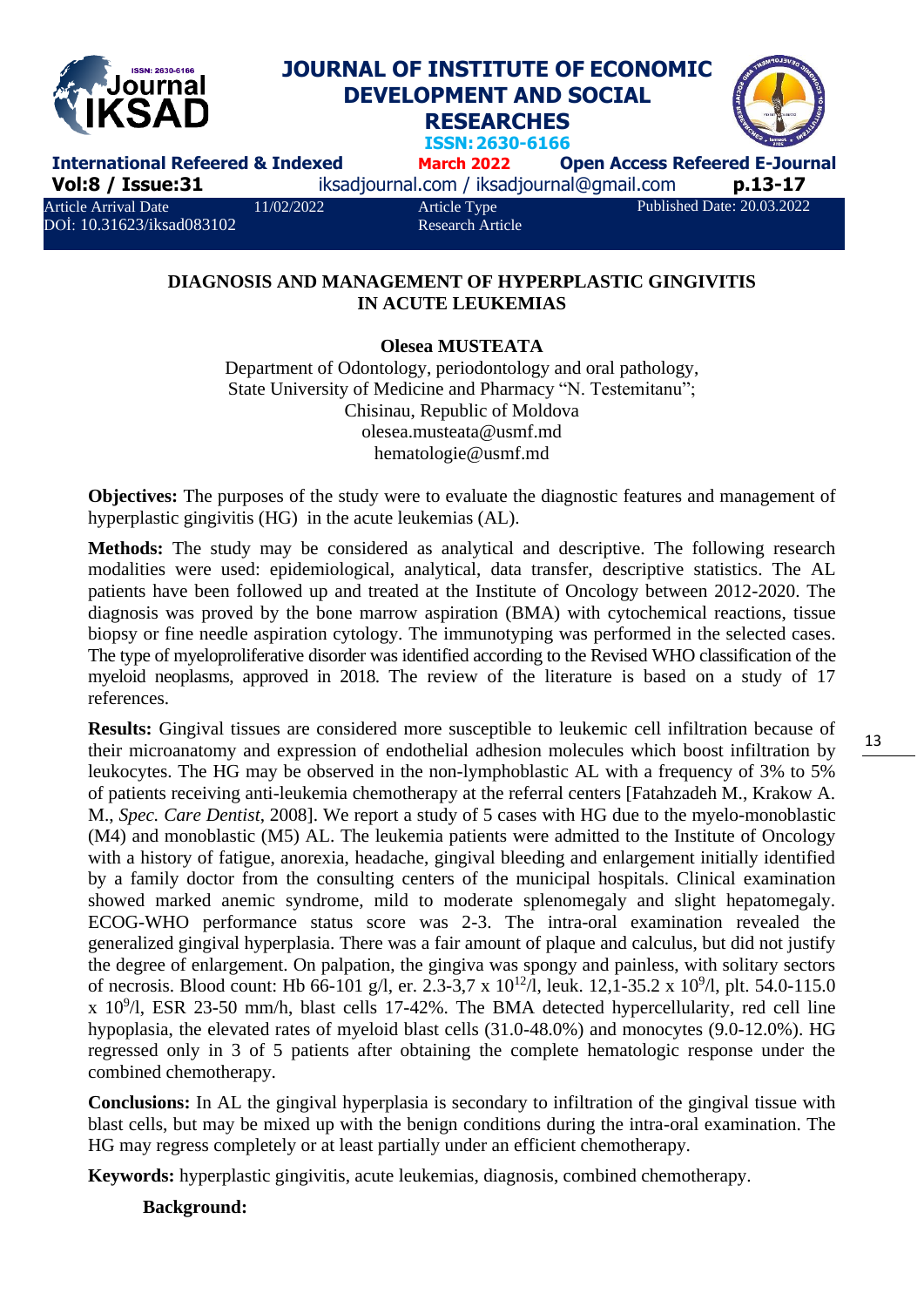

## **DIAGNOSIS AND MANAGEMENT OF HYPERPLASTIC GINGIVITIS IN ACUTE LEUKEMIAS**

## **Olesea MUSTEATA**

Department of Odontology, periodontology and oral pathology, State University of Medicine and Pharmacy "N. Testemitanu"; Chisinau, Republic of Moldova [olesea.musteata@usmf.md](mailto:olesea.musteata@usmf.md) [hematologie@usmf.md](mailto:hematologie@usmf.md)

**Objectives:** The purposes of the study were to evaluate the diagnostic features and management of hyperplastic gingivitis (HG) in the acute leukemias (AL).

**Methods:** The study may be considered as analytical and descriptive. The following research modalities were used: epidemiological, analytical, data transfer, descriptive statistics. The AL patients have been followed up and treated at the Institute of Oncology between 2012-2020. The diagnosis was proved by the bone marrow aspiration (BMA) with cytochemical reactions, tissue biopsy or fine needle aspiration cytology. The immunotyping was performed in the selected cases. The type of myeloproliferative disorder was identified according to the Revised WHO classification of the myeloid neoplasms, approved in 2018. The review of the literature is based on a study of 17 references.

**Results:** Gingival tissues are considered more susceptible to leukemic cell infiltration because of their microanatomy and expression of endothelial adhesion molecules which boost infiltration by leukocytes. The HG may be observed in the non-lymphoblastic AL with a frequency of 3% to 5% of patients receiving anti-leukemia chemotherapy at the referral centers [Fatahzadeh M., Krakow A. M., *Spec. Care Dentist*, 2008]. We report a study of 5 cases with HG due to the myelo-monoblastic (M4) and monoblastic (M5) AL. The leukemia patients were admitted to the Institute of Oncology with a history of fatigue, anorexia, headache, gingival bleeding and enlargement initially identified by a family doctor from the consulting centers of the municipal hospitals. Clinical examination showed marked anemic syndrome, mild to moderate splenomegaly and slight hepatomegaly. ECOG-WHO performance status score was 2-3. The intra-oral examination revealed the generalized gingival hyperplasia. There was a fair amount of plaque and calculus, but did not justify the degree of enlargement. On palpation, the gingiva was spongy and painless, with solitary sectors of necrosis. Blood count: Hb 66-101 g/l, er. 2.3-3,7 x  $10^{12}$ /l, leuk. 12,1-35.2 x  $10^{9}$ /l, plt. 54.0-115.0  $x$  10<sup>9</sup>/l, ESR 23-50 mm/h, blast cells 17-42%. The BMA detected hypercellularity, red cell line hypoplasia, the elevated rates of myeloid blast cells (31.0-48.0%) and monocytes (9.0-12.0%). HG regressed only in 3 of 5 patients after obtaining the complete hematologic response under the combined chemotherapy.

**Conclusions:** In AL the gingival hyperplasia is secondary to infiltration of the gingival tissue with blast cells, but may be mixed up with the benign conditions during the intra-oral examination. The HG may regress completely or at least partially under an efficient chemotherapy.

**Keywords:** hyperplastic gingivitis, acute leukemias, diagnosis, combined chemotherapy.

**Background:**

13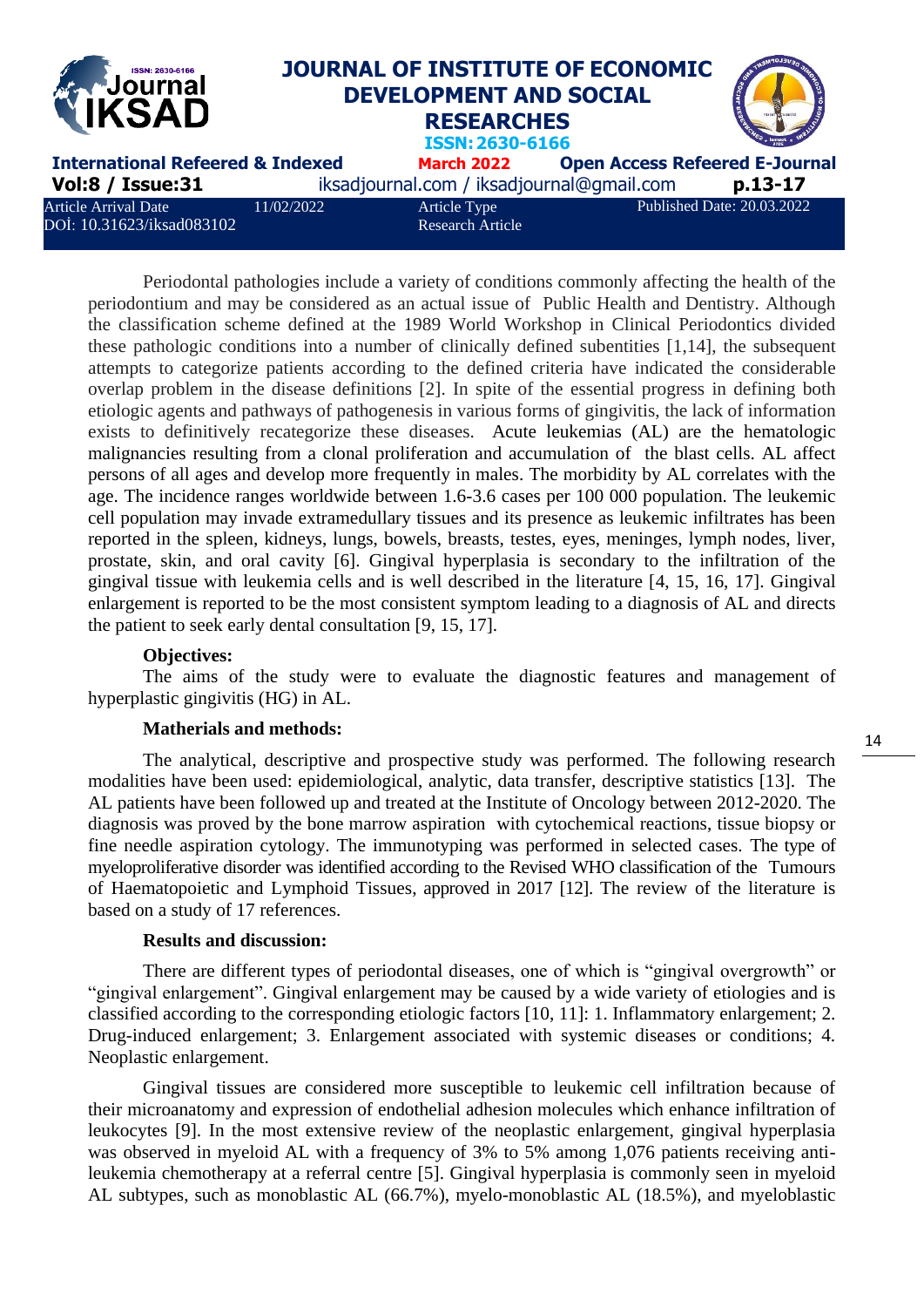

Periodontal pathologies include a variety of conditions commonly affecting the health of the periodontium and may be considered as an actual issue of Public Health and Dentistry. Although the classification scheme defined at the 1989 World Workshop in Clinical Periodontics divided these pathologic conditions into a number of clinically defined subentities [1,14], the subsequent attempts to categorize patients according to the defined criteria have indicated the considerable overlap problem in the disease definitions [2]. In spite of the essential progress in defining both etiologic agents and pathways of pathogenesis in various forms of gingivitis, the lack of information exists to definitively recategorize these diseases. Acute leukemias (AL) are the hematologic malignancies resulting from a clonal proliferation and accumulation of the blast cells. AL affect persons of all ages and develop more frequently in males. The morbidity by AL correlates with the age. The incidence ranges worldwide between 1.6-3.6 cases per 100 000 population. The leukemic cell population may invade extramedullary tissues and its presence as leukemic infiltrates has been reported in the spleen, kidneys, lungs, bowels, breasts, testes, eyes, meninges, lymph nodes, liver, prostate, skin, and oral cavity [6]. Gingival hyperplasia is secondary to the infiltration of the gingival tissue with leukemia cells and is well described in the literature [4, 15, 16, 17]. Gingival enlargement is reported to be the most consistent symptom leading to a diagnosis of AL and directs the patient to seek early dental consultation [9, 15, 17].

### **Objectives:**

The aims of the study were to evaluate the diagnostic features and management of hyperplastic gingivitis (HG) in AL.

#### **Matherials and methods:**

The analytical, descriptive and prospective study was performed. The following research modalities have been used: epidemiological, analytic, data transfer, descriptive statistics [13]. The AL patients have been followed up and treated at the Institute of Oncology between 2012-2020. The diagnosis was proved by the bone marrow aspiration with cytochemical reactions, tissue biopsy or fine needle aspiration cytology. The immunotyping was performed in selected cases. The type of myeloproliferative disorder was identified according to the Revised WHO classification of the Tumours of Haematopoietic and Lymphoid Tissues, approved in 2017 [12]. The review of the literature is based on a study of 17 references.

### **Results and discussion:**

There are different types of periodontal diseases, one of which is "gingival overgrowth" or "gingival enlargement". Gingival enlargement may be caused by a wide variety of etiologies and is classified according to the corresponding etiologic factors [10, 11]: 1. Inflammatory enlargement; 2. Drug-induced enlargement; 3. Enlargement associated with systemic diseases or conditions; 4. Neoplastic enlargement.

Gingival tissues are considered more susceptible to leukemic cell infiltration because of their microanatomy and expression of endothelial adhesion molecules which enhance infiltration of leukocytes [9]. In the most extensive review of the neoplastic enlargement, gingival hyperplasia was observed in myeloid AL with a frequency of 3% to 5% among 1,076 patients receiving antileukemia chemotherapy at a referral centre [5]. Gingival hyperplasia is commonly seen in myeloid AL subtypes, such as monoblastic AL (66.7%), myelo-monoblastic AL (18.5%), and myeloblastic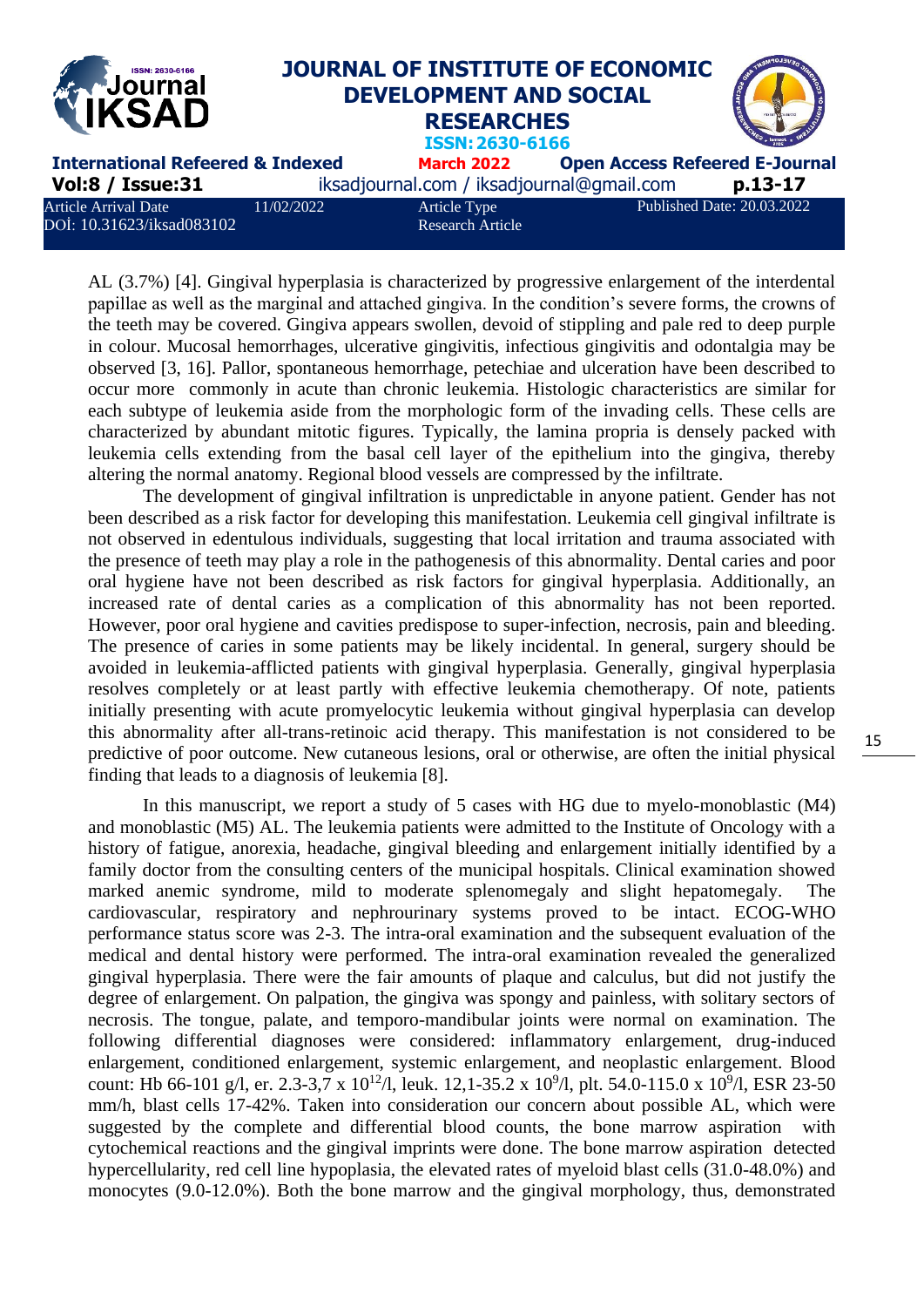| <b>Experiment Second</b>                                 |            | JOURNAL OF INSTITUTE OF ECONOMIC<br><b>DEVELOPMENT AND SOCIAL</b><br><b>RESEARCHES</b><br>ISSN: 2630-6166 |                                       |                            |
|----------------------------------------------------------|------------|-----------------------------------------------------------------------------------------------------------|---------------------------------------|----------------------------|
| <b>International Refeered &amp; Indexed</b>              |            | <b>March 2022</b>                                                                                         | <b>Open Access Refeered E-Journal</b> |                            |
| <b>Vol:8 / Issue:31</b>                                  |            | iksadjournal.com / iksadjournal@gmail.com                                                                 |                                       | p.13-17                    |
| <b>Article Arrival Date</b><br>DOİ: 10.31623/iksad083102 | 11/02/2022 | Article Type<br><b>Research Article</b>                                                                   |                                       | Published Date: 20.03.2022 |

AL (3.7%) [4]. Gingival hyperplasia is characterized by progressive enlargement of the interdental papillae as well as the marginal and attached gingiva. In the condition's severe forms, the crowns of the teeth may be covered. Gingiva appears swollen, devoid of stippling and pale red to deep purple in colour. Mucosal hemorrhages, ulcerative gingivitis, infectious gingivitis and odontalgia may be observed [3, 16]. Pallor, spontaneous hemorrhage, petechiae and ulceration have been described to occur more commonly in acute than chronic leukemia. Histologic characteristics are similar for each subtype of leukemia aside from the morphologic form of the invading cells. These cells are characterized by abundant mitotic figures. Typically, the lamina propria is densely packed with leukemia cells extending from the basal cell layer of the epithelium into the gingiva, thereby altering the normal anatomy. Regional blood vessels are compressed by the infiltrate.

The development of gingival infiltration is unpredictable in anyone patient. Gender has not been described as a risk factor for developing this manifestation. Leukemia cell gingival infiltrate is not observed in edentulous individuals, suggesting that local irritation and trauma associated with the presence of teeth may play a role in the pathogenesis of this abnormality. Dental caries and poor oral hygiene have not been described as risk factors for gingival hyperplasia. Additionally, an increased rate of dental caries as a complication of this abnormality has not been reported. However, poor oral hygiene and cavities predispose to super-infection, necrosis, pain and bleeding. The presence of caries in some patients may be likely incidental. In general, surgery should be avoided in leukemia-afflicted patients with gingival hyperplasia. Generally, gingival hyperplasia resolves completely or at least partly with effective leukemia chemotherapy. Of note, patients initially presenting with acute promyelocytic leukemia without gingival hyperplasia can develop this abnormality after all-trans-retinoic acid therapy. This manifestation is not considered to be predictive of poor outcome. New cutaneous lesions, oral or otherwise, are often the initial physical finding that leads to a diagnosis of leukemia [8].

In this manuscript, we report a study of 5 cases with HG due to myelo-monoblastic (M4) and monoblastic (M5) AL. The leukemia patients were admitted to the Institute of Oncology with a history of fatigue, anorexia, headache, gingival bleeding and enlargement initially identified by a family doctor from the consulting centers of the municipal hospitals. Clinical examination showed marked anemic syndrome, mild to moderate splenomegaly and slight hepatomegaly. The cardiovascular, respiratory and nephrourinary systems proved to be intact. ECOG-WHO performance status score was 2-3. The intra-oral examination and the subsequent evaluation of the medical and dental history were performed. The intra-oral examination revealed the generalized gingival hyperplasia. There were the fair amounts of plaque and calculus, but did not justify the degree of enlargement. On palpation, the gingiva was spongy and painless, with solitary sectors of necrosis. The tongue, palate, and temporo-mandibular joints were normal on examination. The following differential diagnoses were considered: inflammatory enlargement, drug-induced enlargement, conditioned enlargement, systemic enlargement, and neoplastic enlargement. Blood count: Hb 66-101 g/l, er. 2.3-3,7 x 10<sup>12</sup>/l, leuk. 12,1-35.2 x 10<sup>9</sup>/l, plt. 54.0-115.0 x 10<sup>9</sup>/l, ESR 23-50 mm/h, blast cells 17-42%. Taken into consideration our concern about possible AL, which were suggested by the complete and differential blood counts, the bone marrow aspiration with cytochemical reactions and the gingival imprints were done. The bone marrow aspiration detected hypercellularity, red cell line hypoplasia, the elevated rates of myeloid blast cells (31.0-48.0%) and monocytes (9.0-12.0%). Both the bone marrow and the gingival morphology, thus, demonstrated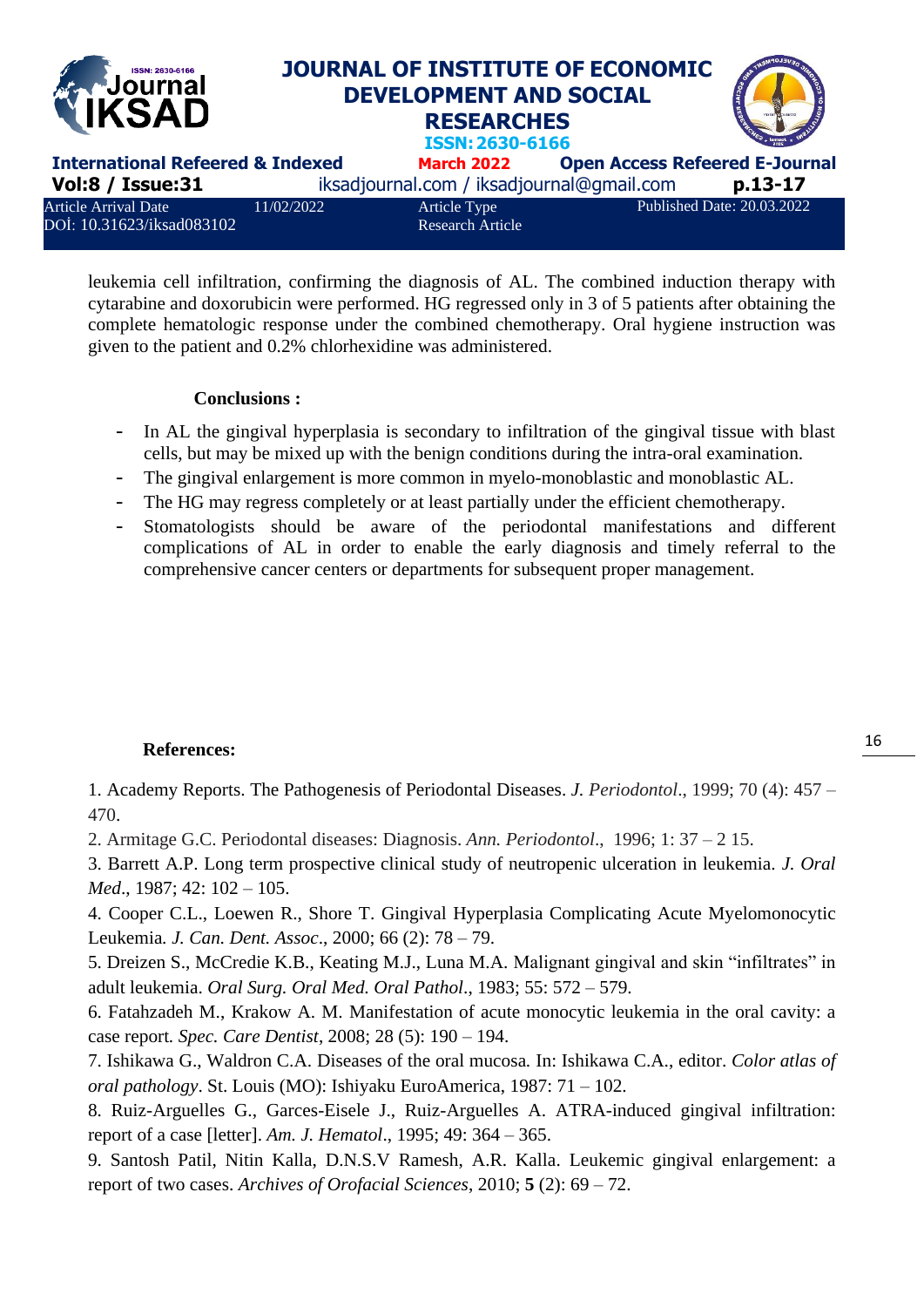

leukemia cell infiltration, confirming the diagnosis of AL. The combined induction therapy with cytarabine and doxorubicin were performed. HG regressed only in 3 of 5 patients after obtaining the complete hematologic response under the combined chemotherapy. Oral hygiene instruction was given to the patient and 0.2% chlorhexidine was administered.

## **Conclusions :**

- In AL the gingival hyperplasia is secondary to infiltration of the gingival tissue with blast cells, but may be mixed up with the benign conditions during the intra-oral examination.
- The gingival enlargement is more common in myelo-monoblastic and monoblastic AL.
- The HG may regress completely or at least partially under the efficient chemotherapy.
- Stomatologists should be aware of the periodontal manifestations and different complications of AL in order to enable the early diagnosis and timely referral to the comprehensive cancer centers or departments for subsequent proper management.

# **References:**

1. Academy Reports. The Pathogenesis of Periodontal Diseases. *J. Periodontol*., 1999; 70 (4): 457 – 470.

2. Armitage G.C. Periodontal diseases: Diagnosis. *Ann. Periodontol*., 1996; 1: 37 – 2 15.

3. Barrett A.P. Long term prospective clinical study of neutropenic ulceration in leukemia*. J. Oral Med*., 1987; 42: 102 – 105.

4. Cooper C.L., Loewen R., Shore T. Gingival Hyperplasia Complicating Acute Myelomonocytic Leukemia*. J. Can. Dent. Assoc*., 2000; 66 (2): 78 – 79.

5. Dreizen S., McCredie K.B., Keating M.J., Luna M.A. Malignant gingival and skin "infiltrates" in adult leukemia. *Oral Surg. Oral Med. Oral Pathol*., 1983; 55: 572 – 579.

6. Fatahzadeh M., Krakow A. M. Manifestation of acute monocytic leukemia in the oral cavity: a case report*. Spec. Care Dentist*, 2008; 28 (5): 190 – 194.

7. Ishikawa G., Waldron C.A. Diseases of the oral mucosa*.* In: Ishikawa C.A., editor. *Color atlas of oral pathology*. St. Louis (MO): Ishiyaku EuroAmerica, 1987: 71 – 102.

8. Ruiz-Arguelles G., Garces-Eisele J., Ruiz-Arguelles A. ATRA-induced gingival infiltration: report of a case [letter]. *Am. J. Hematol*., 1995; 49: 364 – 365.

9. Santosh Patil, Nitin Kalla, D.N.S.V Ramesh, A.R. Kalla. Leukemic gingival enlargement: a report of two cases. *Archives of Orofacial Sciences*, 2010; **5** (2): 69 – 72.